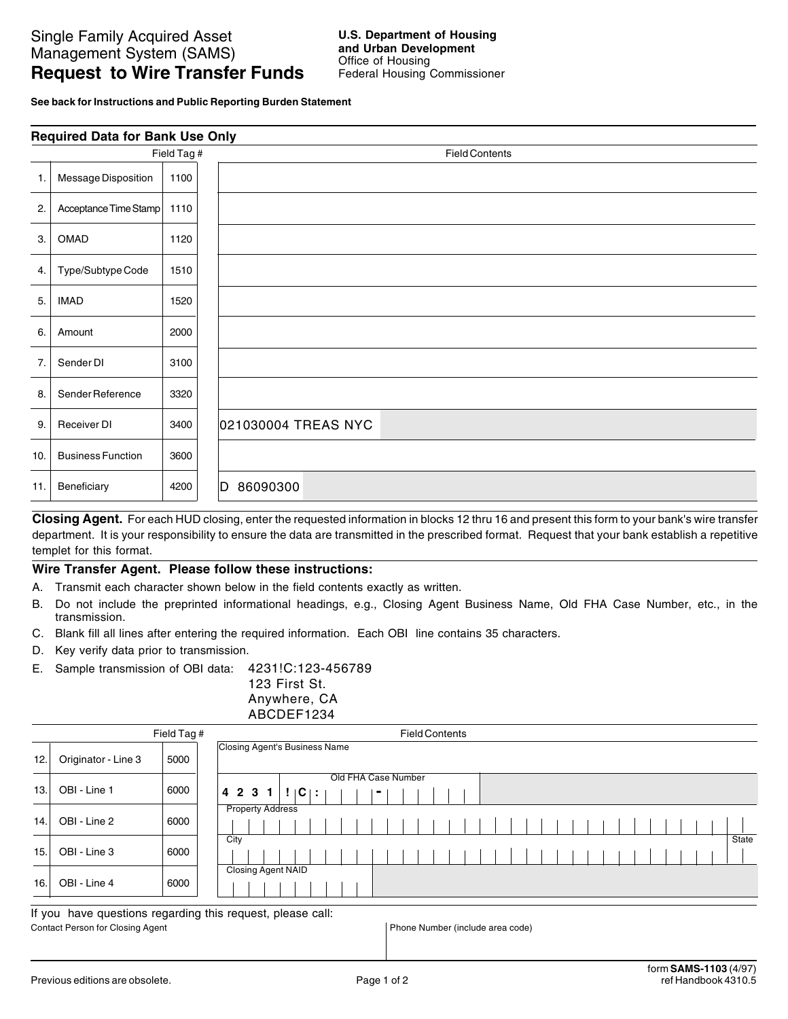**See back for Instructions and Public Reporting Burden Statement**

| <b>Required Data for Bank Use Only</b> |                          |      |                       |  |  |
|----------------------------------------|--------------------------|------|-----------------------|--|--|
| Field Tag #                            |                          |      | <b>Field Contents</b> |  |  |
| 1.                                     | Message Disposition      | 1100 |                       |  |  |
| 2.                                     | Acceptance Time Stamp    | 1110 |                       |  |  |
| 3.                                     | OMAD                     | 1120 |                       |  |  |
| 4.                                     | Type/Subtype Code        | 1510 |                       |  |  |
| 5.                                     | <b>IMAD</b>              | 1520 |                       |  |  |
| 6.                                     | Amount                   | 2000 |                       |  |  |
| 7.                                     | Sender DI                | 3100 |                       |  |  |
| 8.                                     | Sender Reference         | 3320 |                       |  |  |
| 9.                                     | Receiver DI              | 3400 | 021030004 TREAS NYC   |  |  |
| 10.                                    | <b>Business Function</b> | 3600 |                       |  |  |
| 11.                                    | Beneficiary              | 4200 | 86090300<br>D         |  |  |

**Closing Agent.** For each HUD closing, enter the requested information in blocks 12 thru 16 and present this form to your bank's wire transfer department. It is your responsibility to ensure the data are transmitted in the prescribed format. Request that your bank establish a repetitive templet for this format.

## **Wire Transfer Agent. Please follow these instructions:**

- A. Transmit each character shown below in the field contents exactly as written.
- B. Do not include the preprinted informational headings, e.g., Closing Agent Business Name, Old FHA Case Number, etc., in the transmission.
- C. Blank fill all lines after entering the required information. Each OBI line contains 35 characters.
- D. Key verify data prior to transmission.
- E. Sample transmission of OBI data: 4231!C:123-456789
	- 123 First St.

Anywhere, CA ABCDEF1234

|                     | Field Tag # | <b>Field Contents</b>                          |
|---------------------|-------------|------------------------------------------------|
| Originator - Line 3 | 5000        | Closing Agent's Business Name                  |
| OBI - Line 1        | 6000        | Old FHA Case Number<br>4 2 3 1<br>$ C $ :<br>۰ |
| OBI - Line 2        | 6000        | <b>Property Address</b>                        |
| OBI - Line 3        | 6000        | State<br>City                                  |
| OBI - Line 4        | 6000        | <b>Closing Agent NAID</b>                      |
|                     |             |                                                |

If you have questions regarding this request, please call: Contact Person for Closing Agent **Phone Issues Agent Phone Number (include area code)** Phone Number (include area code)